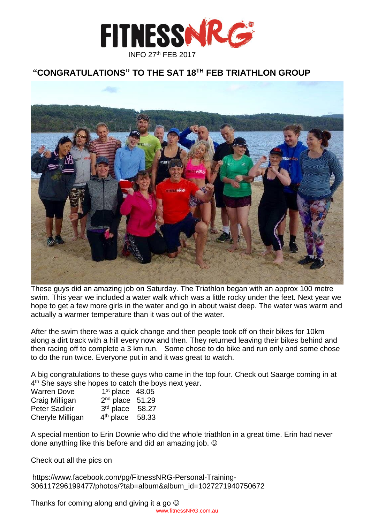

# **"CONGRATULATIONS" TO THE SAT 18TH FEB TRIATHLON GROUP**



These guys did an amazing job on Saturday. The Triathlon began with an approx 100 metre swim. This year we included a water walk which was a little rocky under the feet. Next year we hope to get a few more girls in the water and go in about waist deep. The water was warm and actually a warmer temperature than it was out of the water.

After the swim there was a quick change and then people took off on their bikes for 10km along a dirt track with a hill every now and then. They returned leaving their bikes behind and then racing off to complete a 3 km run. Some chose to do bike and run only and some chose to do the run twice. Everyone put in and it was great to watch.

A big congratulations to these guys who came in the top four. Check out Saarge coming in at 4<sup>th</sup> She says she hopes to catch the boys next year.

| <b>Warren Dove</b> | $1st$ place $48.05$ |  |
|--------------------|---------------------|--|
| Craig Milligan     | $2nd$ place $51.29$ |  |
| Peter Sadleir      | $3rd$ place $58.27$ |  |
| Cheryle Milligan   | $4th$ place 58.33   |  |

A special mention to Erin Downie who did the whole triathlon in a great time. Erin had never done anything like this before and did an amazing job.

Check out all the pics on

https://www.facebook.com/pg/FitnessNRG-Personal-Training-306117296199477/photos/?tab=album&album\_id=1027271940750672

Thanks for coming along and giving it a go  $\odot$ [www.fitnessNRG.com.au](http://www.fitnessnrg.com.au/)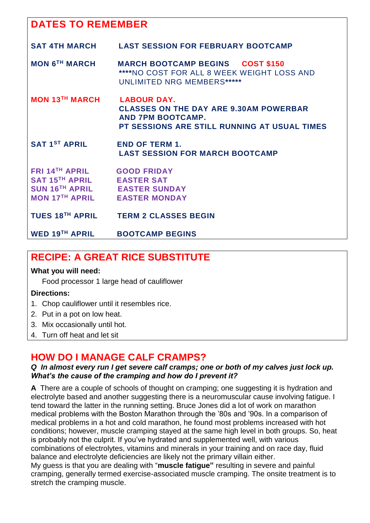# **DATES TO REMEMBER**

| <b>SAT 4TH MARCH</b>                                                                                                                  | <b>LAST SESSION FOR FEBRUARY BOOTCAMP</b>                                                                                                       |
|---------------------------------------------------------------------------------------------------------------------------------------|-------------------------------------------------------------------------------------------------------------------------------------------------|
| <b>MON 6<sup>TH</sup> MARCH</b>                                                                                                       | <b>MARCH BOOTCAMP BEGINS COST \$150</b><br>****NO COST FOR ALL 8 WEEK WEIGHT LOSS AND<br><b>UNLIMITED NRG MEMBERS*****</b>                      |
| <b>MON 13TH MARCH</b>                                                                                                                 | <b>LABOUR DAY.</b><br><b>CLASSES ON THE DAY ARE 9.30AM POWERBAR</b><br><b>AND 7PM BOOTCAMP.</b><br>PT SESSIONS ARE STILL RUNNING AT USUAL TIMES |
| <b>SAT 1ST APRIL</b>                                                                                                                  | <b>END OF TERM 1.</b><br><b>LAST SESSION FOR MARCH BOOTCAMP</b>                                                                                 |
| <b>FRI 14TH APRIL</b><br>SAT 15TH APRIL EASTER SAT<br>SUN 16 <sup>TH</sup> APRIL EASTER SUNDAY<br><b>MON 17TH APRIL EASTER MONDAY</b> | <b>GOOD FRIDAY</b>                                                                                                                              |
|                                                                                                                                       | TUES 18 <sup>TH</sup> APRIL TERM 2 CLASSES BEGIN                                                                                                |
| WED 19 <sup>TH</sup> APRIL                                                                                                            | <b>BOOTCAMP BEGINS</b>                                                                                                                          |
|                                                                                                                                       |                                                                                                                                                 |

# **RECIPE: A GREAT RICE SUBSTITUTE**

### **What you will need:**

Food processor 1 large head of cauliflower

### **Directions:**

- 1. Chop cauliflower until it resembles rice.
- 2. Put in a pot on low heat.
- 3. Mix occasionally until hot.
- 4. Turn off heat and let sit

# **HOW DO I MANAGE CALF CRAMPS?**

#### *Q In almost every run I get severe calf cramps; one or both of my calves just lock up. What's the cause of the cramping and how do I prevent it?*

**A** There are a couple of schools of thought on cramping; one suggesting it is hydration and electrolyte based and another suggesting there is a neuromuscular cause involving fatigue. I tend toward the latter in the running setting. Bruce Jones did a lot of work on marathon medical problems with the Boston Marathon through the '80s and '90s. In a comparison of medical problems in a hot and cold marathon, he found most problems increased with hot conditions; however, muscle cramping stayed at the same high level in both groups. So, heat is probably not the culprit. If you've hydrated and supplemented well, with various combinations of electrolytes, vitamins and minerals in your training and on race day, fluid balance and electrolyte deficiencies are likely not the primary villain either. My guess is that you are dealing with "**muscle fatigue"** resulting in severe and painful cramping, generally termed exercise-associated muscle cramping. The onsite treatment is to stretch the cramping muscle.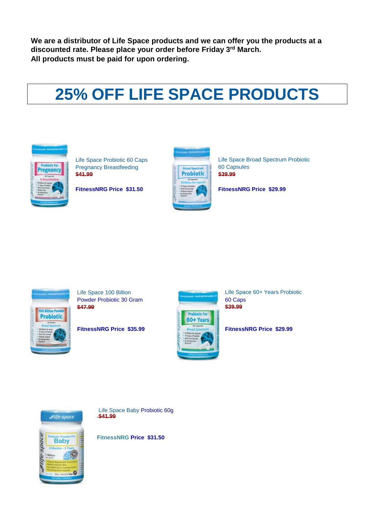**We are a distributor of Life Space products and we can offer you the products at a discounted rate. Please place your order before Friday 3 rd March. All products must be paid for upon ordering.**

# **25% OFF LIFE SPACE PRODUCTS**



Pregnancy Breastfeeding **Expand Spectrum** 60 Capsules **\$41.99 \$41.99 \$41.99** 



[Life Space Probiotic 60 Caps](http://store.evolutionhealth.com.au/life-space-pregnancy-breastfeeding-probiotic-60-caps/) Life Space Broad Spectrum Probiotic

**FitnessNRG Price \$31.50 FitnessNRG Price \$29.99**



Powder Probiotic 30 Gram 60 Caps<br>\$47.99 \$39.99 **\$47.99 \$39.99** 



[Life Space 100 Billion](http://store.evolutionhealth.com.au/life-space-100-billion-powder-probiotic-30-gram/) Life Space 60+ Years Probiotic

**FitnessNRG Price \$35.99 A Broad Specifically FitnessNRG Price \$29.99** 



[Life Space Baby](http://store.evolutionhealth.com.au/life-space-baby-probiotic-60g/) Probiotic 60g **[\\$41.99](http://store.evolutionhealth.com.au/500mg-wild-red-krill-oil-60-capsules/)**

**FitnessNRG Price \$31.50**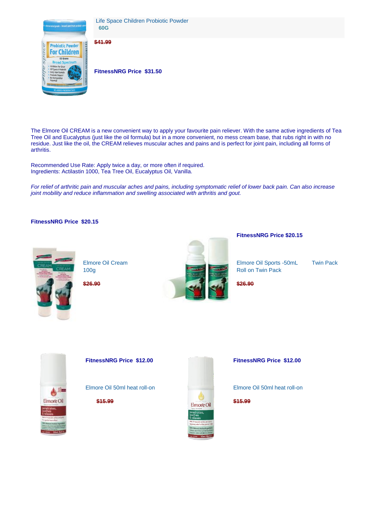

Life Space Children Probiotic Powder  **60G** 

#### **\$41.99**

**FitnessNRG Price \$31.50** 

The Elmore Oil CREAM is a new convenient way to apply your favourite pain reliever. With the same active ingredients of Tea Tree Oil and Eucalyptus (just like the oil formula) but in a more convenient, no mess cream base, that rubs right in with no residue. Just like the oil, the CREAM relieves muscular aches and pains and is perfect for joint pain, including all forms of arthritis.

Recommended Use Rate: Apply twice a day, or more often if required. Ingredients: Actilastin 1000, Tea Tree Oil, Eucalyptus Oil, Vanilla.

*For relief of arthritic pain and muscular aches and pains, including symptomatic relief of lower back pain. Can also increase joint mobility and reduce inflammation and swelling associated with arthritis and gout.*

#### **FitnessNRG Price \$20.15**





 **FitnessNRG Price \$20.15** 

[Elmore Oil](http://store.evolutionhealth.com.au/elmore-oil-250ml/) Cream Elmore Oil Sports -50mL Twin Pack

 $\triangle$ Elmore Oil



**FitnessNRG Price \$12.00 FitnessNRG Price \$12.00** 

Elmore Oil [50ml heat roll-on](http://store.evolutionhealth.com.au/elmore-oil-250ml/) Elmore Oil [50ml heat roll-on](http://store.evolutionhealth.com.au/elmore-oil-250ml/)